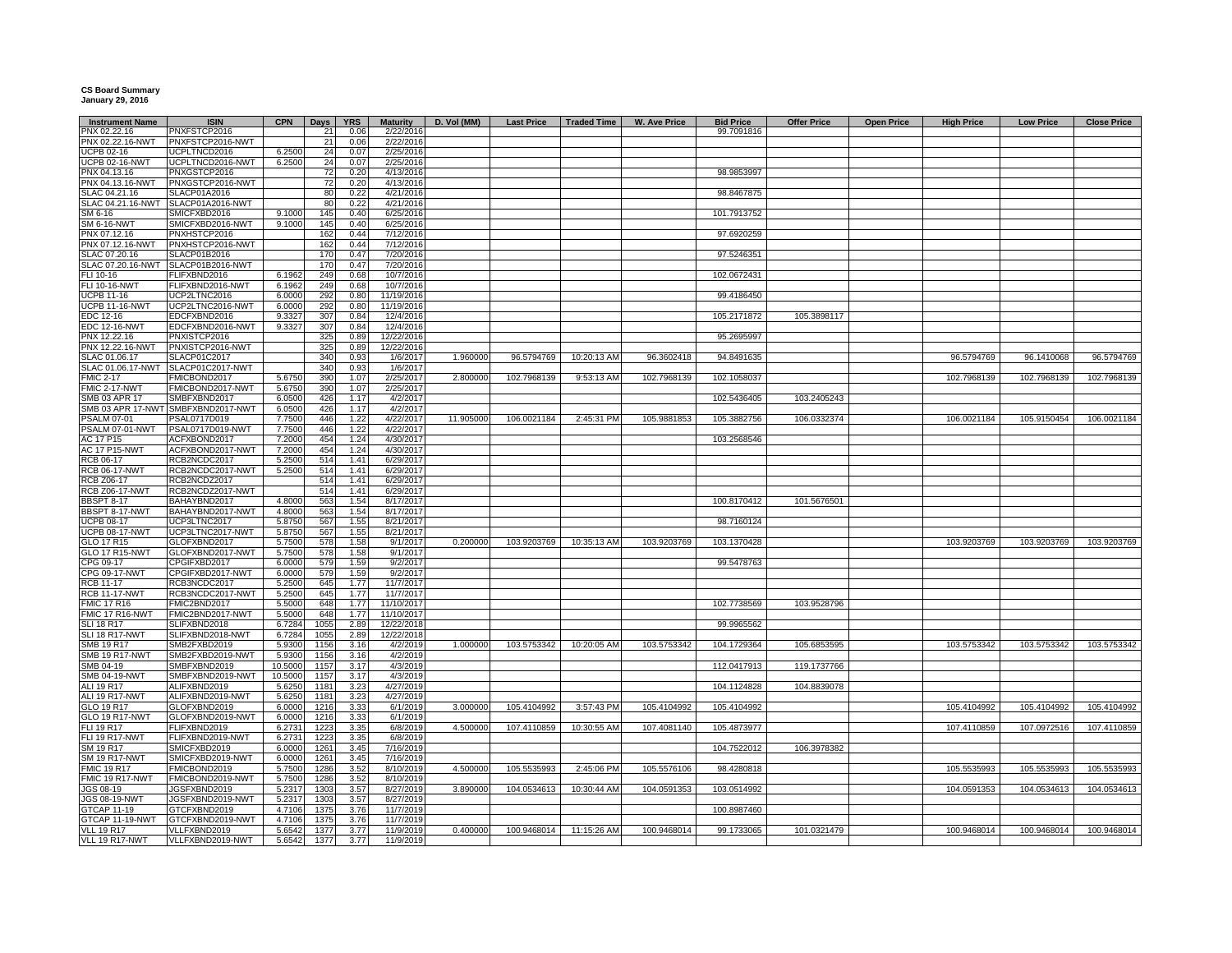## **CS Board Summary January 29, 2016**

| <b>Instrument Name</b>               | <b>ISIN</b>                        | <b>CPN</b>       | Days        | <b>YRS</b>   | <b>Maturity</b>          | D. Vol (MM) | <b>Last Price</b> | Traded Time | W. Ave Price | <b>Bid Price</b> | <b>Offer Price</b> | <b>Open Price</b> | <b>High Price</b> | <b>Low Price</b> | <b>Close Price</b> |
|--------------------------------------|------------------------------------|------------------|-------------|--------------|--------------------------|-------------|-------------------|-------------|--------------|------------------|--------------------|-------------------|-------------------|------------------|--------------------|
| PNX 02.22.16                         | PNXFSTCP2016                       |                  | 21          | 0.06         | 2/22/2016                |             |                   |             |              | 99.7091816       |                    |                   |                   |                  |                    |
| PNX 02.22.16-NWT                     | PNXFSTCP2016-NWT                   |                  | 21          | 0.06         | 2/22/2016                |             |                   |             |              |                  |                    |                   |                   |                  |                    |
| JCPB 02-16                           | UCPLTNCD2016                       | 6.2500           | 24          | 0.07         | 2/25/2016                |             |                   |             |              |                  |                    |                   |                   |                  |                    |
| JCPB 02-16-NWT                       | UCPLTNCD2016-NWT                   | 6.2500           | 24          | 0.07         | 2/25/2016                |             |                   |             |              |                  |                    |                   |                   |                  |                    |
| PNX 04.13.16                         | PNXGSTCP2016                       |                  | 72          | 0.20         | 4/13/2016                |             |                   |             |              | 98.9853997       |                    |                   |                   |                  |                    |
| PNX 04.13.16-NWT                     | PNXGSTCP2016-NWT                   |                  | 72          | 0.20         | 4/13/2016                |             |                   |             |              |                  |                    |                   |                   |                  |                    |
| SLAC 04.21.16                        | SLACP01A2016                       |                  | 80          | 0.22         | 4/21/2016                |             |                   |             |              | 98.8467875       |                    |                   |                   |                  |                    |
| SLAC 04.21.16-NWT                    | SLACP01A2016-NWT                   |                  | 80          | 0.22         | 4/21/2016                |             |                   |             |              |                  |                    |                   |                   |                  |                    |
| SM 6-16                              | SMICFXBD2016                       | 9.1000           | 145         | 0.40         | 6/25/2016                |             |                   |             |              | 101.7913752      |                    |                   |                   |                  |                    |
| SM 6-16-NWT                          | SMICFXBD2016-NWT                   | 9.1000           | 145         | 0.40         | 6/25/2016                |             |                   |             |              |                  |                    |                   |                   |                  |                    |
| PNX 07.12.16                         | PNXHSTCP2016                       |                  | 162         | 0.44         | 7/12/2016                |             |                   |             |              | 97.6920259       |                    |                   |                   |                  |                    |
| PNX 07.12.16-NWT                     | PNXHSTCP2016-NWT                   |                  | 162         | 0.44         | 7/12/2016                |             |                   |             |              |                  |                    |                   |                   |                  |                    |
| SLAC 07.20.16                        | SLACP01B2016                       |                  | 170         | 0.47         | 7/20/2016                |             |                   |             |              | 97.5246351       |                    |                   |                   |                  |                    |
| SLAC 07.20.16-NWT                    | SLACP01B2016-NWT                   |                  | 170         | 0.47         | 7/20/2016                |             |                   |             |              |                  |                    |                   |                   |                  |                    |
| FLI 10-16                            | FLIFXBND2016                       | 6.1962           | 249         | 0.68         | 10/7/2016                |             |                   |             |              | 102.0672431      |                    |                   |                   |                  |                    |
| FLI 10-16-NWT<br>JCPB 11-16          | FLIFXBND2016-NWT<br>UCP2LTNC2016   | 6.1962<br>6.0000 | 249<br>292  | 0.68<br>0.80 | 10/7/2016<br>11/19/2016  |             |                   |             |              | 99.4186450       |                    |                   |                   |                  |                    |
| <b>UCPB 11-16-NWT</b>                | UCP2LTNC2016-NWT                   | 6.0000           | 292         | 0.80         | 11/19/2016               |             |                   |             |              |                  |                    |                   |                   |                  |                    |
| EDC 12-16                            | EDCFXBND2016                       | 9.3327           |             |              | 12/4/2016                |             |                   |             |              | 105.2171872      | 105.3898117        |                   |                   |                  |                    |
| <b>EDC 12-16-NWT</b>                 | EDCFXBND2016-NWT                   | 9.3327           | 307<br>307  | 0.84<br>0.84 | 12/4/2016                |             |                   |             |              |                  |                    |                   |                   |                  |                    |
| PNX 12.22.16                         | PNXISTCP2016                       |                  | 325         | 0.89         | 12/22/2016               |             |                   |             |              | 95.2695997       |                    |                   |                   |                  |                    |
| PNX 12.22.16-NWT                     | PNXISTCP2016-NWT                   |                  | 325         | 0.89         | 12/22/2016               |             |                   |             |              |                  |                    |                   |                   |                  |                    |
| SLAC 01.06.17                        | SLACP01C2017                       |                  | 340         | 0.93         | 1/6/2017                 | 1.960000    | 96.5794769        | 10:20:13 AM | 96.3602418   | 94.8491635       |                    |                   | 96.5794769        | 96.1410068       | 96.5794769         |
| SLAC 01.06.17-NWT                    | SLACP01C2017-NWT                   |                  | 340         | 0.93         | 1/6/2017                 |             |                   |             |              |                  |                    |                   |                   |                  |                    |
| <b>FMIC 2-17</b>                     | FMICBOND2017                       | 5.6750           | 390         | 1.07         | 2/25/2017                | 2.800000    | 102.7968139       | 9:53:13 AM  | 102.7968139  | 102.1058037      |                    |                   | 102.7968139       | 102.7968139      | 102.7968139        |
| <b>FMIC 2-17-NWT</b>                 | FMICBOND2017-NWT                   | 5.6750           | 390         | 1.07         | 2/25/2017                |             |                   |             |              |                  |                    |                   |                   |                  |                    |
| SMB 03 APR 17                        | SMBFXBND2017                       | 6.0500           | 426         | 1.17         | 4/2/2017                 |             |                   |             |              | 102.5436405      | 103.2405243        |                   |                   |                  |                    |
|                                      | SMB 03 APR 17-NWT SMBFXBND2017-NWT | 6.0500           | 426         | 1.17         | 4/2/2017                 |             |                   |             |              |                  |                    |                   |                   |                  |                    |
| <b>PSALM 07-01</b>                   | PSAL0717D019                       | 7.7500           | 446         | 1.22         | 4/22/2017                | 11.905000   | 106.0021184       | 2:45:31 PM  | 105.9881853  | 105.3882756      | 106.0332374        |                   | 106.0021184       | 105.9150454      | 106.0021184        |
| PSALM 07-01-NWT                      | PSAL0717D019-NWT                   | 7.7500           | 446         | 1.22         | 4/22/2017                |             |                   |             |              |                  |                    |                   |                   |                  |                    |
| AC 17 P15                            | ACFXBOND2017                       | 7.2000           | 454         | 1.24         | 4/30/2017                |             |                   |             |              | 103.2568546      |                    |                   |                   |                  |                    |
| <b>AC 17 P15-NWT</b>                 | ACFXBOND2017-NWT                   | 7.2000           | 454         | 1.24         | 4/30/2017                |             |                   |             |              |                  |                    |                   |                   |                  |                    |
| <b>RCB 06-17</b>                     | RCB2NCDC2017                       | 5.2500           | 514         | 1.41         | 6/29/2017                |             |                   |             |              |                  |                    |                   |                   |                  |                    |
| <b>RCB 06-17-NWT</b>                 | RCB2NCDC2017-NWT                   | 5.2500           | 514         | 1.41         | 6/29/2017                |             |                   |             |              |                  |                    |                   |                   |                  |                    |
| RCB Z06-17                           | RCB2NCDZ2017                       |                  | 514         | 1.41         | 6/29/2017                |             |                   |             |              |                  |                    |                   |                   |                  |                    |
| <b>RCB Z06-17-NWT</b>                | RCB2NCDZ2017-NWT                   |                  | 514         | 1.41         | 6/29/2017                |             |                   |             |              |                  |                    |                   |                   |                  |                    |
| <b>BBSPT 8-17</b>                    | BAHAYBND2017                       | 4.8000           | 563         | 1.54         | 8/17/2017                |             |                   |             |              | 100.8170412      | 101.5676501        |                   |                   |                  |                    |
| BBSPT 8-17-NWT                       | BAHAYBND2017-NWT                   | 4.8000           | 563         | 1.54         | 8/17/2017                |             |                   |             |              |                  |                    |                   |                   |                  |                    |
| <b>UCPB 08-17</b>                    | UCP3LTNC2017                       | 5.8750           | 567         | 1.55         | 8/21/2017                |             |                   |             |              | 98.7160124       |                    |                   |                   |                  |                    |
| JCPB 08-17-NWT                       | UCP3LTNC2017-NWT                   | 5.8750           | 567         | 1.55         | 8/21/2017                |             |                   |             |              |                  |                    |                   |                   |                  |                    |
| GLO 17 R15                           | GLOFXBND2017                       | 5.7500           | 578         | 1.58         | 9/1/2017                 | 0.200000    | 103.9203769       | 10:35:13 AM | 103.9203769  | 103.1370428      |                    |                   | 103.9203769       | 103.9203769      | 103.9203769        |
| <b>GLO 17 R15-NWT</b>                | GLOFXBND2017-NWT                   | 5.7500           | 578         | 1.58         | 9/1/2017                 |             |                   |             |              |                  |                    |                   |                   |                  |                    |
| CPG 09-17                            | CPGIFXBD2017                       | 6.0000           | 579         | 1.59         | 9/2/2017                 |             |                   |             |              | 99.5478763       |                    |                   |                   |                  |                    |
| CPG 09-17-NWT                        | CPGIFXBD2017-NWT                   | 6.0000           | 579         | 1.59         | 9/2/2017                 |             |                   |             |              |                  |                    |                   |                   |                  |                    |
| <b>RCB 11-17</b>                     | RCB3NCDC2017                       | 5.2500           | 645         | 1.77         | 11/7/2017                |             |                   |             |              |                  |                    |                   |                   |                  |                    |
| <b>RCB 11-17-NWT</b>                 | RCB3NCDC2017-NWT                   | 5.2500           | 645         | 1.77         | 11/7/2017                |             |                   |             |              |                  |                    |                   |                   |                  |                    |
| <b>FMIC 17 R16</b>                   | FMIC2BND2017                       | 5.5000           | 648         | 1.77         | 11/10/2017               |             |                   |             |              | 102.7738569      | 103.9528796        |                   |                   |                  |                    |
| FMIC 17 R16-NWT<br><b>SLI 18 R17</b> | FMIC2BND2017-NWT<br>SLIFXBND2018   | 5.5000<br>6.7284 | 648<br>1055 | 1.77<br>2.89 | 11/10/2017<br>12/22/2018 |             |                   |             |              | 99.9965562       |                    |                   |                   |                  |                    |
| SLI 18 R17-NWT                       | SLIFXBND2018-NWT                   | 6.7284           | 1055        | 2.89         | 12/22/2018               |             |                   |             |              |                  |                    |                   |                   |                  |                    |
| SMB 19 R17                           | SMB2FXBD2019                       | 5.9300           | 1156        | 3.16         | 4/2/2019                 | 1.000000    | 103.5753342       | 10:20:05 AM | 103.5753342  | 104.1729364      | 105.6853595        |                   | 103.5753342       | 103.5753342      | 103.5753342        |
| SMB 19 R17-NWT                       | SMB2FXBD2019-NWT                   | 5.9300           | 1156        | 3.16         | 4/2/2019                 |             |                   |             |              |                  |                    |                   |                   |                  |                    |
| MB 04-19                             | SMBFXBND2019                       | 10.5000          | 1157        | 3.17         | 4/3/2019                 |             |                   |             |              | 112.0417913      | 119.1737766        |                   |                   |                  |                    |
| SMB 04-19-NWT                        | SMBFXBND2019-NWT                   | 10.5000          | 1157        | 3.17         | 4/3/2019                 |             |                   |             |              |                  |                    |                   |                   |                  |                    |
| <b>ALI 19 R17</b>                    | ALIFXBND2019                       | 5.6250           | 1181        | 3.23         | 4/27/2019                |             |                   |             |              | 104.1124828      | 104.8839078        |                   |                   |                  |                    |
| ALI 19 R17-NWT                       | ALIFXBND2019-NWT                   | 5.6250           | 1181        | 3.23         | 4/27/2019                |             |                   |             |              |                  |                    |                   |                   |                  |                    |
| GLO 19 R17                           | GLOFXBND2019                       | 6.0000           | 1216        | 3.33         | 6/1/2019                 | 3.000000    | 105.4104992       | 3:57:43 PM  | 105.4104992  | 105.4104992      |                    |                   | 105.4104992       | 105.4104992      | 105.4104992        |
| <b>GLO 19 R17-NWT</b>                | GLOFXBND2019-NWT                   | 6.0000           | 1216        | 3.33         | 6/1/2019                 |             |                   |             |              |                  |                    |                   |                   |                  |                    |
| FLI 19 R17                           | FLIFXBND2019                       | 6.273'           | 1223        | 3.35         | 6/8/2019                 | 4.500000    | 107.4110859       | 10:30:55 AM | 107.4081140  | 105.4873977      |                    |                   | 107.4110859       | 107.0972516      | 107.4110859        |
| FLI 19 R17-NWT                       | FLIFXBND2019-NWT                   | 6.2731           | 1223        | 3.35         | 6/8/2019                 |             |                   |             |              |                  |                    |                   |                   |                  |                    |
| SM 19 R17                            | SMICFXBD2019                       | 6.0000           | 1261        | 3.45         | 7/16/2019                |             |                   |             |              | 104.7522012      | 106.3978382        |                   |                   |                  |                    |
| <b>SM 19 R17-NWT</b>                 | SMICFXBD2019-NWT                   | 6.0000           | 1261        | 3.45         | 7/16/2019                |             |                   |             |              |                  |                    |                   |                   |                  |                    |
| <b>FMIC 19 R17</b>                   | FMICBOND2019                       | 5.7500           | 1286        | 3.52         | 8/10/2019                | 4.500000    | 105.5535993       | 2:45:06 PM  | 105.5576106  | 98.4280818       |                    |                   | 105.5535993       | 105.5535993      | 105.5535993        |
| FMIC 19 R17-NWT                      | FMICBOND2019-NWT                   | 5.7500           | 1286        | 3.52         | 8/10/2019                |             |                   |             |              |                  |                    |                   |                   |                  |                    |
| JGS 08-19                            | JGSFXBND2019                       | 5.2317           | 1303        | 3.57         | 8/27/2019                | 3.890000    | 104.0534613       | 10:30:44 AM | 104.0591353  | 103.0514992      |                    |                   | 104.0591353       | 104.0534613      | 104.0534613        |
| <b>JGS 08-19-NWT</b>                 | JGSFXBND2019-NWT                   | 5.2317           | 1303        | 3.57         | 8/27/2019                |             |                   |             |              |                  |                    |                   |                   |                  |                    |
| <b>GTCAP 11-19</b>                   | GTCFXBND2019                       | 4.7106           | 1375        | 3.76         | 11/7/2019                |             |                   |             |              | 100.8987460      |                    |                   |                   |                  |                    |
| GTCAP 11-19-NWT                      | GTCFXBND2019-NWT                   | 4.7106           | 1375        | 3.76         | 11/7/2019                |             |                   |             |              |                  |                    |                   |                   |                  |                    |
| <b>VLL 19 R17</b>                    | VLLFXBND2019                       | 5.6542           | 1377        | 3.77         | 11/9/2019                | 0.400000    | 100.9468014       | 11:15:26 AM | 100.9468014  | 99.1733065       | 101.0321479        |                   | 100.9468014       | 100.9468014      | 100.9468014        |
| VLL 19 R17-NWT                       | VLLFXBND2019-NWT                   | 5.6542           | 1377        | 3.77         | 11/9/2019                |             |                   |             |              |                  |                    |                   |                   |                  |                    |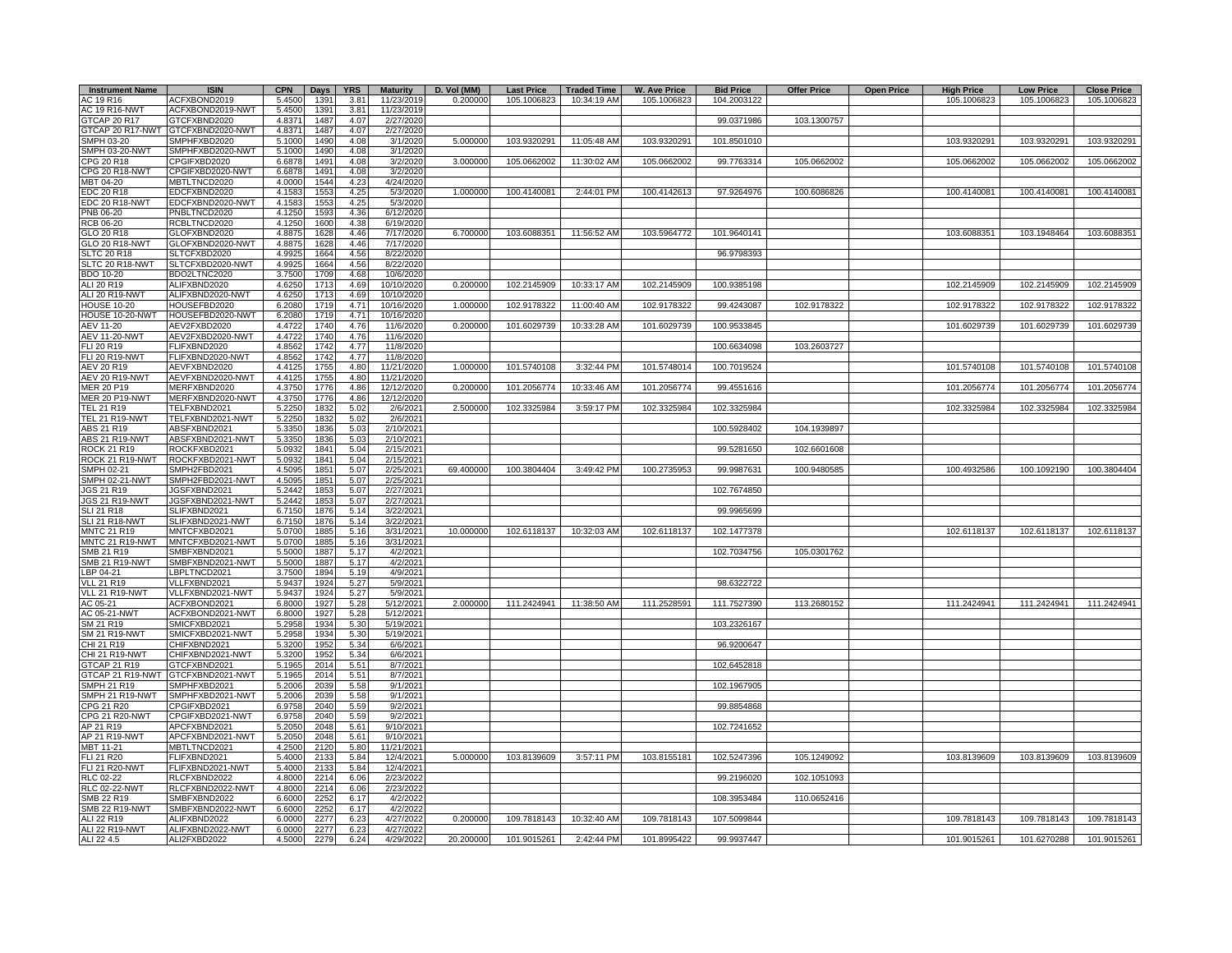| <b>Instrument Name</b>                  | <b>ISIN</b>                      | <b>CPN</b>       | Days         | <b>YRS</b>    | <b>Maturity</b>        | D. Vol (MM) | <b>Last Price</b> | <b>Traded Time</b> | <b>W. Ave Price</b> | <b>Bid Price</b> | <b>Offer Price</b> | <b>Open Price</b> | <b>High Price</b> | <b>Low Price</b> | <b>Close Price</b> |
|-----------------------------------------|----------------------------------|------------------|--------------|---------------|------------------------|-------------|-------------------|--------------------|---------------------|------------------|--------------------|-------------------|-------------------|------------------|--------------------|
| AC 19 R16                               | ACFXBOND2019                     | 5.4500           | 1391         | 3.81          | 11/23/2019             | 0.200000    | 105.1006823       | 10:34:19 AM        | 105.1006823         | 104.2003122      |                    |                   | 105.1006823       | 105.1006823      | 105.1006823        |
| AC 19 R16-NWT                           | ACFXBOND2019-NWT                 | 5.4500           | 1391         | 3.81          | 11/23/2019             |             |                   |                    |                     |                  |                    |                   |                   |                  |                    |
| GTCAP 20 R17<br><b>GTCAP 20 R17-NWT</b> | GTCFXBND2020<br>GTCFXBND2020-NWT | 4.8371<br>4.8371 | 1487<br>1487 | 4.07<br>4.07  | 2/27/2020<br>2/27/2020 |             |                   |                    |                     | 99.0371986       | 103.1300757        |                   |                   |                  |                    |
| SMPH 03-20                              | SMPHFXBD2020                     | 5.1000           | 1490         | 4.08          | 3/1/2020               | 5.000000    | 103.9320291       | 11:05:48 AM        | 103.9320291         | 101.8501010      |                    |                   | 103.9320291       | 103.9320291      | 103.9320291        |
| SMPH 03-20-NWT                          | SMPHFXBD2020-NWT                 | 5.1000           | 1490         | 4.08          | 3/1/2020               |             |                   |                    |                     |                  |                    |                   |                   |                  |                    |
| CPG 20 R18                              | CPGIFXBD2020                     | 6.6878           | 1491         | 4.08          | 3/2/2020               | 3.000000    | 105.0662002       | 11:30:02 AM        | 105.0662002         | 99.7763314       | 105.0662002        |                   | 105.0662002       | 105.0662002      | 105.0662002        |
| CPG 20 R18-NWT                          | CPGIFXBD2020-NWT                 | 6.6878           | 1491         | 4.08          | 3/2/2020               |             |                   |                    |                     |                  |                    |                   |                   |                  |                    |
| MBT 04-20                               | MBTLTNCD2020                     | 4.0000           | 1544         | $4.2^{\circ}$ | 4/24/2020              |             |                   |                    |                     |                  |                    |                   |                   |                  |                    |
| EDC 20 R18<br>EDC 20 R18-NWT            | EDCFXBND2020<br>EDCFXBND2020-NWT | 4.1583<br>4.1583 | 1553         | 4.25<br>425   | 5/3/2020<br>5/3/2020   | 1.000000    | 100.4140081       | 2:44:01 PM         | 100.4142613         | 97.9264976       | 100.6086826        |                   | 100.4140081       | 100.4140081      | 100.4140081        |
| PNB 06-20                               | PNBLTNCD2020                     | 4.1250           | 1553<br>1593 | 4.36          | 6/12/2020              |             |                   |                    |                     |                  |                    |                   |                   |                  |                    |
| <b>RCB 06-20</b>                        | RCBLTNCD2020                     | 4.1250           | 1600         | 4.38          | 6/19/2020              |             |                   |                    |                     |                  |                    |                   |                   |                  |                    |
| <b>GLO 20 R18</b>                       | GLOFXBND2020                     | 4.8875           | 1628         | 4.46          | 7/17/2020              | 6.700000    | 103.6088351       | 11:56:52 AM        | 103.5964772         | 101.9640141      |                    |                   | 103.6088351       | 103.1948464      | 103.6088351        |
| GLO 20 R18-NWT                          | GLOFXBND2020-NWT                 | 4.8875           | 1628         | 4 46          | 7/17/2020              |             |                   |                    |                     |                  |                    |                   |                   |                  |                    |
| <b>SLTC 20 R18</b>                      | SLTCFXBD2020                     | 4.9925           | 1664         | 4.56          | 8/22/2020              |             |                   |                    |                     | 96.9798393       |                    |                   |                   |                  |                    |
| SLTC 20 R18-NWT<br>BDO 10-20            | SLTCFXBD2020-NWT<br>BDO2LTNC2020 | 4.9925<br>3.7500 | 1664<br>1709 | 4.56<br>4.68  | 8/22/2020<br>10/6/2020 |             |                   |                    |                     |                  |                    |                   |                   |                  |                    |
| ALI 20 R19                              | ALIFXBND2020                     | 4.6250           | 1713         | 4.69          | 10/10/2020             | 0.200000    | 102.2145909       | 10:33:17 AM        | 102.2145909         | 100.9385198      |                    |                   | 102.2145909       | 102.2145909      | 102.2145909        |
| ALI 20 R19-NWT                          | ALIFXBND2020-NWT                 | 4.6250           | 1713         | 4.69          | 10/10/2020             |             |                   |                    |                     |                  |                    |                   |                   |                  |                    |
| <b>HOUSE 10-20</b>                      | HOUSEFBD2020                     | 6.2080           | 1719         | 4.7'          | 10/16/2020             | 1.00000     | 102.9178322       | 11:00:40 AM        | 102.9178322         | 99.4243087       | 102.9178322        |                   | 102.9178322       | 102.9178322      | 102.9178322        |
| HOUSE 10-20-NWT                         | HOUSEFBD2020-NWT                 | 6.2080           | 1719         | 4.71          | 10/16/2020             |             |                   |                    |                     |                  |                    |                   |                   |                  |                    |
| <b>EV 11-20</b>                         | AEV2FXBD2020                     | 4.4722           | 1740         | 4.76          | 11/6/2020              | 0.200000    | 101.6029739       | 10:33:28 AM        | 101.6029739         | 100.9533845      |                    |                   | 101.6029739       | 101.6029739      | 101.6029739        |
| <b>EV 11-20-NWT</b><br><b>LI 20 R19</b> | AEV2FXBD2020-NWT<br>FLIFXBND2020 | 4.4722<br>4.8562 | 1740<br>1742 | 4.76<br>4.77  | 11/6/2020<br>11/8/2020 |             |                   |                    |                     | 100.6634098      | 103.2603727        |                   |                   |                  |                    |
| LI 20 R19-NWT                           | FLIFXBND2020-NWT                 | 4.8562           | 1742         | 4.77          | 11/8/2020              |             |                   |                    |                     |                  |                    |                   |                   |                  |                    |
| <b>IEV 20 R19</b>                       | AEVFXBND2020                     | 4.4125           | 1755         | 4.80          | 11/21/2020             | 1.000000    | 101.5740108       | 3:32:44 PM         | 101.5748014         | 100.7019524      |                    |                   | 101.5740108       | 101.5740108      | 101.5740108        |
| <b>IEV 20 R19-NWT</b>                   | AEVFXBND2020-NWT                 | 4.4125           | 1755         | 4.80          | 11/21/2020             |             |                   |                    |                     |                  |                    |                   |                   |                  |                    |
| MER 20 P19                              | MERFXBND2020                     | 4.3750           | 1776         | 4.86          | 12/12/2020             | 0.200000    | 101.2056774       | 10:33:46 AM        | 101.2056774         | 99.4551616       |                    |                   | 101.2056774       | 101.2056774      | 101.2056774        |
| <b>JER 20 P19-NWT</b>                   | MERFXBND2020-NWT                 | 4.3750           | 1776         | 4.86          | 12/12/2020             |             |                   |                    |                     |                  |                    |                   |                   |                  |                    |
| <b>FEL 21 R19</b><br>FEL 21 R19-NWT     | TELFXBND2021<br>TELFXBND2021-NWT | 5.2250<br>5.2250 | 1832<br>1832 | 5.02<br>5.02  | 2/6/2021<br>2/6/2021   | 2.500000    | 102.3325984       | 3:59:17 PM         | 102.3325984         | 102.3325984      |                    |                   | 102.3325984       | 102.3325984      | 102.3325984        |
| <b>\BS 21 R19</b>                       | ABSFXBND2021                     | 5.3350           | 1836         | 5.03          | 2/10/2021              |             |                   |                    |                     | 100.5928402      | 104.1939897        |                   |                   |                  |                    |
| ABS 21 R19-NWT                          | ABSFXBND2021-NWT                 | 5.3350           | 1836         | 5.03          | 2/10/2021              |             |                   |                    |                     |                  |                    |                   |                   |                  |                    |
| ROCK 21 R19                             | ROCKFXBD2021                     | 5.0932           | 1841         | 5.04          | 2/15/2021              |             |                   |                    |                     | 99.5281650       | 102.6601608        |                   |                   |                  |                    |
| ROCK 21 R19-NWT                         | ROCKFXBD2021-NWT                 | 5.0932           | 1841         | 5.04          | 2/15/2021              |             |                   |                    |                     |                  |                    |                   |                   |                  |                    |
| SMPH 02-21                              | SMPH2FBD2021                     | 4.5095           | 1851         | 5.07          | 2/25/2021              | 69.400000   | 100.3804404       | 3:49:42 PM         | 100.2735953         | 99.9987631       | 100.9480585        |                   | 100.4932586       | 100.1092190      | 100.3804404        |
| SMPH 02-21-NWT                          | SMPH2FBD2021-NWT                 | 4.5095<br>5.2442 | 1851         | 5.07<br>5.07  | 2/25/2021              |             |                   |                    |                     |                  |                    |                   |                   |                  |                    |
| IGS 21 R19<br>JGS 21 R19-NWT            | JGSFXBND2021<br>JGSFXBND2021-NWT | 5.2442           | 1853<br>1853 | 5.07          | 2/27/2021<br>2/27/2021 |             |                   |                    |                     | 102.7674850      |                    |                   |                   |                  |                    |
| SLI 21 R18                              | SLIFXBND2021                     | 6.7150           | 1876         | 5.14          | 3/22/2021              |             |                   |                    |                     | 99.9965699       |                    |                   |                   |                  |                    |
| SLI 21 R18-NWT                          | SLIFXBND2021-NWT                 | 6.7150           | 1876         | 5.14          | 3/22/2021              |             |                   |                    |                     |                  |                    |                   |                   |                  |                    |
| MNTC 21 R19                             | MNTCFXBD2021                     | 5.0700           | 1885         | 5.16          | 3/31/2021              | 10.000000   | 102.6118137       | 10:32:03 AM        | 102.6118137         | 102.1477378      |                    |                   | 102.6118137       | 102.6118137      | 102.6118137        |
| <b>MNTC 21 R19-NWT</b>                  | MNTCFXBD2021-NWT                 | 5.0700           | 1885         | 5.16          | 3/31/2021              |             |                   |                    |                     |                  |                    |                   |                   |                  |                    |
| SMB 21 R19<br><b>SMB 21 R19-NWT</b>     | SMBFXBND2021<br>SMBFXBND2021-NWT | 5.5000<br>5.5000 | 1887<br>1887 | 5.17<br>5.17  | 4/2/2021<br>4/2/2021   |             |                   |                    |                     | 102.7034756      | 105.0301762        |                   |                   |                  |                    |
| BP 04-21                                | BPLTNCD2021                      | 3.7500           | 1894         | 5.19          | 4/9/2021               |             |                   |                    |                     |                  |                    |                   |                   |                  |                    |
| <b>VLL 21 R19</b>                       | VLLFXBND2021                     | 5.9437           | 1924         | 5.27          | 5/9/2021               |             |                   |                    |                     | 98.6322722       |                    |                   |                   |                  |                    |
| /LL 21 R19-NWT                          | VLLFXBND2021-NWT                 | 5.9437           | 1924         | 5.27          | 5/9/2021               |             |                   |                    |                     |                  |                    |                   |                   |                  |                    |
| AC 05-21                                | ACFXBOND2021                     | 6.8000           | 1927         | 5.28          | 5/12/2021              | 2.000000    | 111.2424941       | 11:38:50 AM        | 111.2528591         | 111.7527390      | 113.2680152        |                   | 111.2424941       | 111.2424941      | 111.2424941        |
| <b>\C 05-21-NWT</b><br>SM 21 R19        | ACFXBOND2021-NWT<br>SMICFXBD2021 | 6.8000<br>5.2958 | 1927<br>1934 | 5.28          | 5/12/2021<br>5/19/2021 |             |                   |                    |                     | 103.2326167      |                    |                   |                   |                  |                    |
| SM 21 R19-NWT                           | SMICFXBD2021-NWT                 | 5.2958           | 1934         | 5.30<br>5.30  | 5/19/2021              |             |                   |                    |                     |                  |                    |                   |                   |                  |                    |
| CHI 21 R19                              | HIFXBND2021                      | 5.3200           | 1952         | 5.34          | 6/6/2021               |             |                   |                    |                     | 96.9200647       |                    |                   |                   |                  |                    |
| CHI 21 R19-NWT                          | HIFXBND2021-NWT                  | 5.3200           | 1952         | 5.34          | 6/6/2021               |             |                   |                    |                     |                  |                    |                   |                   |                  |                    |
| <b>GTCAP 21 R19</b>                     | GTCFXBND2021                     | 5.1965           | 2014         | 5.51          | 8/7/2021               |             |                   |                    |                     | 102.6452818      |                    |                   |                   |                  |                    |
| <b>STCAP 21 R19-NWT</b>                 | STCFXBND2021-NWT                 | 5.1965           | 2014         | 5.51          | 8/7/2021               |             |                   |                    |                     |                  |                    |                   |                   |                  |                    |
| SMPH 21 R19<br>SMPH 21 R19-NWT          | SMPHFXBD2021                     | 5.2006           | 2039         | 5.58          | 9/1/2021<br>9/1/2021   |             |                   |                    |                     | 102.1967905      |                    |                   |                   |                  |                    |
| CPG 21 R20                              | MPHFXBD2021-NWT<br>PGIFXBD2021   | 5.2006<br>6.9758 | 2039<br>2040 | 5.58<br>5.59  | 9/2/2021               |             |                   |                    |                     | 99.8854868       |                    |                   |                   |                  |                    |
| CPG 21 R20-NWT                          | CPGIFXBD2021-NWT                 | 6.9758           | 2040         | 5.59          | 9/2/2021               |             |                   |                    |                     |                  |                    |                   |                   |                  |                    |
| AP 21 R19                               | APCFXBND2021                     | 5.2050           | 2048         | 5.61          | 9/10/2021              |             |                   |                    |                     | 102.7241652      |                    |                   |                   |                  |                    |
| AP 21 R19-NWT                           | APCFXBND2021-NWT                 | 5.2050           | 2048         | 5.61          | 9/10/2021              |             |                   |                    |                     |                  |                    |                   |                   |                  |                    |
| MBT 11-21                               | <b>MBTLTNCD2021</b>              | 4.2500           | 2120         | 5.80          | 11/21/2021             |             |                   |                    |                     |                  |                    |                   |                   |                  |                    |
| <b>LI 21 R20</b><br>FLI 21 R20-NWT      | FLIFXBND2021<br>FLIFXBND2021-NWT | 5.4000<br>5.4000 | 2133         | 5.84          | 12/4/2021<br>12/4/2021 | 5.000000    | 103.8139609       | 3:57:11 PM         | 103.8155181         | 102.5247396      | 105.1249092        |                   | 103.8139609       | 103.8139609      | 103.8139609        |
| RLC 02-22                               | RLCFXBND2022                     | 4.8000           | 2133<br>2214 | 5.84<br>6.06  | 2/23/2022              |             |                   |                    |                     | 99.2196020       | 102.1051093        |                   |                   |                  |                    |
| <b>RLC 02-22-NWT</b>                    | RLCFXBND2022-NWT                 | 4.8000           | 2214         | 6.06          | 2/23/2022              |             |                   |                    |                     |                  |                    |                   |                   |                  |                    |
| SMB 22 R19                              | SMBFXBND2022                     | 6.6000           | 2252         | 6.17          | 4/2/2022               |             |                   |                    |                     | 108.3953484      | 110.0652416        |                   |                   |                  |                    |
| <b>SMB 22 R19-NWT</b>                   | SMBFXBND2022-NWT                 | 6.6000           | 2252         | 6.17          | 4/2/2022               |             |                   |                    |                     |                  |                    |                   |                   |                  |                    |
| ALI 22 R19                              | ALIFXBND2022                     | 6.0000           | 2277         | 6.23          | 4/27/2022              | 0.200000    | 109.7818143       | 10:32:40 AM        | 109.7818143         | 107.5099844      |                    |                   | 109.7818143       | 109.7818143      | 109.7818143        |
| ALI 22 R19-NWT                          | ALIFXBND2022-NWT                 | 6.0000           | 2277         | 6.23          | 4/27/2022              |             | 101.9015261       | 2:42:44 PM         | 101.8995422         | 99.9937447       |                    |                   | 101.9015261       | 101.6270288      | 101.9015261        |
| ALI 22 4.5                              | ALI2FXBD2022                     | 4.5000           | 2279         | 6.24          | 4/29/2022              | 20.200000   |                   |                    |                     |                  |                    |                   |                   |                  |                    |